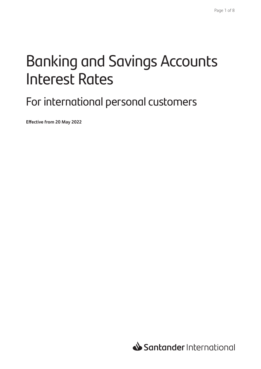# Banking and Savings Accounts Interest Rates

### For international personal customers

**Effective from 20 May 2022**

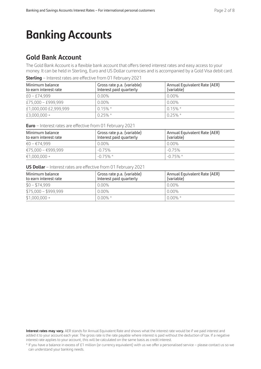## **Banking Accounts**

### **Gold Bank Account**

The Gold Bank Account is a flexible bank account that offers tiered interest rates and easy access to your money. It can be held in Sterling, Euro and US Dollar currencies and is accompanied by a Gold Visa debit card.

**Sterling** – Interest rates are effective from 01 February 2021

| Minimum balance<br>to earn interest rate | Gross rate p.a. (variable)<br>Interest paid quarterly | Annual Equivalent Rate (AER)<br>(variable) |
|------------------------------------------|-------------------------------------------------------|--------------------------------------------|
| $£0 - £74.999$                           | $0.00\%$                                              | $0.00\%$                                   |
| £75,000 - £999,999                       | $0.00\%$                                              | $0.00\%$                                   |
| £1,000,000 £2,999,999                    | $0.15\%$ *                                            | $0.15\%$ *                                 |
| £3,000,000 +                             | $0.25\%$ *                                            | $0.25\%$ *                                 |

**Euro** – Interest rates are effective from 01 February 2021

| Minimum balance<br>to earn interest rate | Gross rate p.a. (variable)<br>Interest paid quarterly | Annual Equivalent Rate (AER)<br>(variable) |
|------------------------------------------|-------------------------------------------------------|--------------------------------------------|
| €0 – €74.999                             | $0.00\%$                                              | 0.00%                                      |
| €75,000 - €999,999                       | $-0.75\%$                                             | $-0.75%$                                   |
| $€1,000,000 +$                           | $-0.75\%$ *                                           | $-0.75\%$ *                                |

**US Dollar** – Interest rates are effective from 01 February 2021

| Minimum balance<br>to earn interest rate | Gross rate p.a. (variable)<br>Interest paid quarterly | Annual Equivalent Rate (AER)<br>(variable) |
|------------------------------------------|-------------------------------------------------------|--------------------------------------------|
| $$0 - $74,999$                           | $0.00\%$                                              | 0.00%                                      |
| $$75,000 - $999,999$                     | $0.00\%$                                              | 0.00%                                      |
| $$1,000,000 +$                           | $0.00\%$ *                                            | $0.00\%$ *                                 |

**Interest rates may vary.** AER stands for Annual Equivalent Rate and shows what the interest rate would be if we paid interest and added it to your account each year. The gross rate is the rate payable where interest is paid without the deduction of tax. If a negative interest rate applies to your account, this will be calculated on the same basis as credit interest.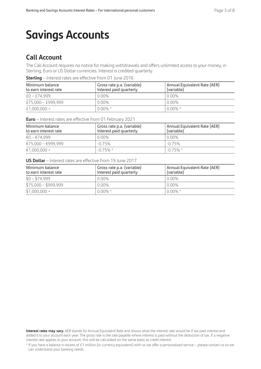## **Savings Accounts**

### **Call Account**

The Call Account requires no notice for making withdrawals and offers unlimited access to your money, in Sterling, Euro or US Dollar currencies. Interest is credited quarterly.

**Sterling** – Interest rates are effective from 01 June 2016

| Minimum balance<br>to earn interest rate | Gross rate p.a. (variable)<br>Interest paid quarterly | Annual Equivalent Rate (AER)<br>(variable) |
|------------------------------------------|-------------------------------------------------------|--------------------------------------------|
| $£0 - £74.999$                           | $0.00\%$                                              | 0.00%                                      |
| £75,000 - £999,999                       | $0.00\%$                                              | 0.00%                                      |
| $£1,000,000+$                            | $0.00\% *$                                            | $0.00\% *$                                 |

| Minimum balance<br>to earn interest rate | Gross rate p.a. (variable)<br>Interest paid quarterly | Annual Equivalent Rate (AER)<br>(variable) |
|------------------------------------------|-------------------------------------------------------|--------------------------------------------|
| €0 – €74.999                             | $0.00\%$                                              | 0.00%                                      |
| €75.000 - €999.999                       | $-0.75%$                                              | $-0.75%$                                   |
| $€1.000.000 +$                           | $-0.75\%$ *                                           | $-0.75\%$ *                                |

#### **US Dollar** – Interest rates are effective from 19 June 2017

| Minimum balance<br>to earn interest rate | Gross rate p.a. (variable)<br>Interest paid quarterly | Annual Equivalent Rate (AER)<br>(variable) |
|------------------------------------------|-------------------------------------------------------|--------------------------------------------|
| $$0 - $74,999$                           | $0.00\%$                                              | 0.00%                                      |
| $$75.000 - $999.999$                     | $0.00\%$                                              | 0.00%                                      |
| $$1,000,000 +$                           | $0.00\%$ *                                            | $0.00\% *$                                 |

**Interest rates may vary.** AER stands for Annual Equivalent Rate and shows what the interest rate would be if we paid interest and added it to your account each year. The gross rate is the rate payable where interest is paid without the deduction of tax. If a negative interest rate applies to your account, this will be calculated on the same basis as credit interest.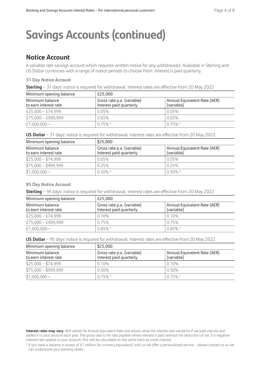### **Notice Account**

A variable rate savings account which requires written notice for any withdrawals. Available in Sterling and US Dollar currencies with a range of notice periods to choose from. Interest is paid quarterly.

#### **31 Day Notice Account**

| Sterling - 31 days' notice is required for withdrawal. Interest rates are effective from 20 May 2022 |  |
|------------------------------------------------------------------------------------------------------|--|
|------------------------------------------------------------------------------------------------------|--|

| Minimum opening balance                  | £25.000                                               |                                            |
|------------------------------------------|-------------------------------------------------------|--------------------------------------------|
| Minimum balance<br>to earn interest rate | Gross rate p.a. (variable)<br>Interest paid quarterly | Annual Equivalent Rate (AER)<br>(variable) |
| £25,000 - £74,999                        | 0.05%                                                 | 0.05%                                      |
| £75,000 - £999,999                       | 0.65%                                                 | 0.65%                                      |
| $£1,000,000+$                            | $0.75\%$ *                                            | $0.75\%$ *                                 |

| <b>US Dollar</b> – 31 days' notice is required for withdrawal. Interest rates are effective from 20 May 2022 |
|--------------------------------------------------------------------------------------------------------------|
|--------------------------------------------------------------------------------------------------------------|

| Minimum opening balance                  | \$25,000                                              |                                            |
|------------------------------------------|-------------------------------------------------------|--------------------------------------------|
| Minimum balance<br>to earn interest rate | Gross rate p.a. (variable)<br>Interest paid quarterly | Annual Equivalent Rate (AER)<br>(variable) |
| $$25,000 - $74,999$                      | 0.05%                                                 | 0.05%                                      |
| $$75,000 - $999,999$                     | 0.25%                                                 | 0.25%                                      |
| $$1,000,000 +$                           | $0.50\%$ *                                            | $0.50\%$ *                                 |

#### **95 Day Notice Account**

**Sterling** – 95 days' notice is required for withdrawal. Interest rates are effective from 20 May 2022

| Minimum opening balance                  | £25.000                                               |                                            |
|------------------------------------------|-------------------------------------------------------|--------------------------------------------|
| Minimum balance<br>to earn interest rate | Gross rate p.a. (variable)<br>Interest paid quarterly | Annual Equivalent Rate (AER)<br>(variable) |
| £25,000 - £74,999                        | 0.10%                                                 | 0.10%                                      |
| £75,000 - £999,999                       | 0.75%                                                 | 0.75%                                      |
| $£1,000,000+$                            | $0.85\%$ *                                            | $0.85\%$ *                                 |

**US Dollar** – 95 days' notice is required for withdrawal. Interest rates are effective from 20 May 2022

| Minimum opening balance                  | \$25,000                                              |                                            |  |
|------------------------------------------|-------------------------------------------------------|--------------------------------------------|--|
| Minimum balance<br>to earn interest rate | Gross rate p.a. (variable)<br>Interest paid quarterly | Annual Equivalent Rate (AER)<br>(variable) |  |
| $$25,000 - $74,999$                      | 0.10%                                                 | 0.10%                                      |  |
| $$75,000 - $999,999$                     | 0.50%                                                 | 0.50%                                      |  |
| $$1,000,000 +$                           | $0.75\%$ *                                            | $0.75\%$ *                                 |  |

**Interest rates may vary.** AER stands for Annual Equivalent Rate and shows what the interest rate would be if we paid interest and added it to your account each year. The gross rate is the rate payable where interest is paid without the deduction of tax. If a negative interest rate applies to your account, this will be calculated on the same basis as credit interest.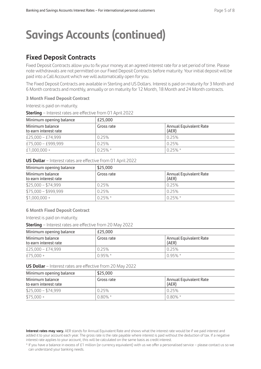### **Fixed Deposit Contracts**

Fixed Deposit Contracts allow you to fix your money at an agreed interest rate for a set period of time. Please note withdrawals are not permitted on our Fixed Deposit Contracts before maturity. Your initial deposit will be paid into a Call Account which we will automatically open for you.

The Fixed Deposit Contracts are available in Sterling and US Dollars. Interest is paid on maturity for 3 Month and 6 Month contracts and monthly, annually or on maturity for 12 Month, 18 Month and 24 Month contracts.

#### **3 Month Fixed Deposit Contract**

Interest is paid on maturity.

**Sterling** – Interest rates are effective from 01 April 2022

| Minimum opening balance                  | £25.000    |                                 |  |
|------------------------------------------|------------|---------------------------------|--|
| Minimum balance<br>to earn interest rate | Gross rate | Annual Equivalent Rate<br>(AER) |  |
| £25,000 - £74,999                        | 0.25%      | 0.25%                           |  |
| £75,000 - £999,999                       | 0.25%      | 0.25%                           |  |
| $£1,000,000+$                            | $0.25\%$ * | $1025\%$ *                      |  |

#### **US Dollar** – Interest rates are effective from 01 April 2022

| Minimum opening balance                  | \$25,000   |                                 |  |
|------------------------------------------|------------|---------------------------------|--|
| Minimum balance<br>to earn interest rate | Gross rate | Annual Equivalent Rate<br>(AER) |  |
| $$25,000 - $74,999$                      | 0.25%      | 0.25%                           |  |
| $$75,000 - $999,999$                     | 0.25%      | 0.25%                           |  |
| $$1,000,000 +$                           | $0.25\%$ * | $0.25\% *$                      |  |

#### **6 Month Fixed Deposit Contract**

Interest is paid on maturity.

**Sterling** – Interest rates are effective from 20 May 2022

| Minimum opening balance                  | £25.000                                       |            |  |
|------------------------------------------|-----------------------------------------------|------------|--|
| Minimum balance<br>to earn interest rate | Annual Equivalent Rate<br>Gross rate<br>(AER) |            |  |
| £25,000 - £74,999                        | 0.25%                                         | 025%       |  |
| £75.000 +                                | $0.95\%$ *                                    | $0.95\%$ * |  |

#### **US Dollar** – Interest rates are effective from 20 May 2022

| Minimum opening balance                  | \$25,000                                      |            |  |
|------------------------------------------|-----------------------------------------------|------------|--|
| Minimum balance<br>to earn interest rate | Annual Equivalent Rate<br>Gross rate<br>(AER) |            |  |
| $$25,000 - $74,999$                      | 0.25%                                         | 0.25%      |  |
| $$75,000 +$                              | $0.80\%$ *                                    | $0.80\%$ * |  |

**Interest rates may vary.** AER stands for Annual Equivalent Rate and shows what the interest rate would be if we paid interest and added it to your account each year. The gross rate is the rate payable where interest is paid without the deduction of tax. If a negative interest rate applies to your account, this will be calculated on the same basis as credit interest.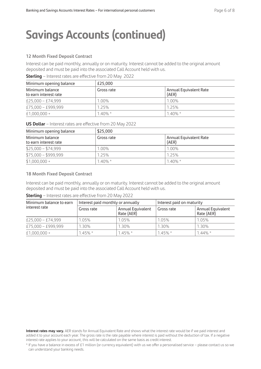#### **12 Month Fixed Deposit Contract**

Interest can be paid monthly, annually or on maturity. Interest cannot be added to the original amount deposited and must be paid into the associated Call Account held with us.

| <b>Sterling</b> - Interest rates are effective from 20 May 2022 |  |  |
|-----------------------------------------------------------------|--|--|
|-----------------------------------------------------------------|--|--|

| Minimum opening balance                  | £25.000    |                                 |  |
|------------------------------------------|------------|---------------------------------|--|
| Minimum balance<br>to earn interest rate | Gross rate | Annual Equivalent Rate<br>(AER) |  |
| £25,000 - £74,999                        | 1.00%      | 1.00%                           |  |
| £75,000 - £999,999                       | 1 25%      | 1 25%                           |  |
| £1,000,000 +                             | $140\%$ *  | $140%$ *                        |  |

**US Dollar** – Interest rates are effective from 20 May 2022

| Minimum opening balance                  | \$25,000   |                                 |  |
|------------------------------------------|------------|---------------------------------|--|
| Minimum balance<br>to earn interest rate | Gross rate | Annual Equivalent Rate<br>(AER) |  |
| $$25,000 - $74,999$                      | 1.00%      | 1.00%                           |  |
| $$75.000 - $999.999$                     | 1.25%      | 125%                            |  |
| $$1,000,000 +$                           | $1.40\%$ * | $1.40\%$ *                      |  |

#### **18 Month Fixed Deposit Contract**

Interest can be paid monthly, annually or on maturity. Interest cannot be added to the original amount deposited and must be paid into the associated Call Account held with us.

**Sterling** – Interest rates are effective from 20 May 2022

| Minimum balance to earn | Interest paid monthly or annually |                                 | Interest paid on maturity |                                 |
|-------------------------|-----------------------------------|---------------------------------|---------------------------|---------------------------------|
| interest rate           | Gross rate                        | Annual Equivalent<br>Rate (AER) | Gross rate                | Annual Equivalent<br>Rate (AER) |
| £25,000 - £74,999       | 1.05%                             | 1.05%                           | 1.05%                     | 1.05%                           |
| £75,000 - £999,999      | 1.30%                             | 1.30%                           | 1.30%                     | 1.30%                           |
| $£1,000,000+$           | $1.45\%$ *                        | $1.45\%$ *                      | $1.45\%$ *                | $1.44\%$ *                      |

**Interest rates may vary.** AER stands for Annual Equivalent Rate and shows what the interest rate would be if we paid interest and added it to your account each year. The gross rate is the rate payable where interest is paid without the deduction of tax. If a negative interest rate applies to your account, this will be calculated on the same basis as credit interest.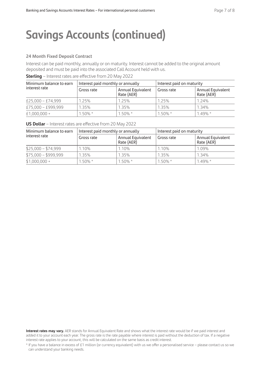#### **24 Month Fixed Deposit Contract**

Interest can be paid monthly, annually or on maturity. Interest cannot be added to the original amount deposited and must be paid into the associated Call Account held with us.

#### **Sterling** – Interest rates are effective from 20 May 2022

| Minimum balance to earn | Interest paid monthly or annually |                                 | Interest paid on maturity |                                 |
|-------------------------|-----------------------------------|---------------------------------|---------------------------|---------------------------------|
| interest rate           | Gross rate                        | Annual Equivalent<br>Rate (AER) | Gross rate                | Annual Equivalent<br>Rate (AER) |
| £25,000 - £74,999       | 1.25%                             | 1.25%                           | 1.25%                     | 1.24%                           |
| £75,000 - £999,999      | 1.35%                             | 1.35%                           | 1.35%                     | 1.34%                           |
| £1,000,000 +            | $1.50\%$ *                        | $1.50\%$ *                      | $1.50\%$ *                | $1.49\% *$                      |

**US Dollar** – Interest rates are effective from 20 May 2022

| Minimum balance to earn | Interest paid monthly or annually |                                        | Interest paid on maturity |                                 |
|-------------------------|-----------------------------------|----------------------------------------|---------------------------|---------------------------------|
| interest rate           | Gross rate                        | <b>Annual Equivalent</b><br>Rate (AER) | Gross rate                | Annual Equivalent<br>Rate (AER) |
| $$25,000 - $74,999$     | 1.10%                             | 1.10%                                  | 1.10%                     | 1.09%                           |
| $$75,000 - $999,999$    | 1.35%                             | 1.35%                                  | 1.35%                     | 1.34%                           |
| $$1,000,000 +$          | $1.50\%$ *                        | $1.50\%$ *                             | $1.50\%$ *                | $1.49\%$ *                      |

**Interest rates may vary.** AER stands for Annual Equivalent Rate and shows what the interest rate would be if we paid interest and added it to your account each year. The gross rate is the rate payable where interest is paid without the deduction of tax. If a negative interest rate applies to your account, this will be calculated on the same basis as credit interest.